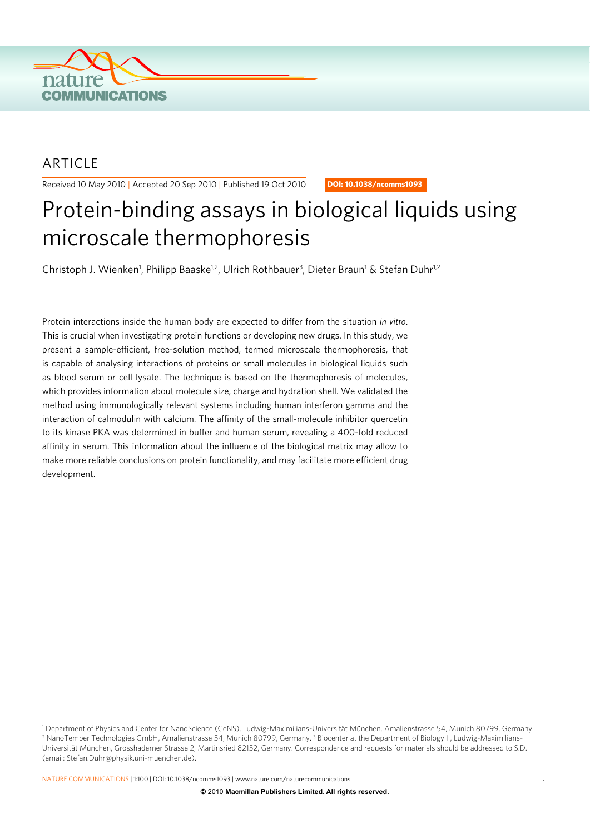

# ARTICLE

Received 10 May 2010 | Accepted 20 Sep 2010 | Published 19 Oct 2010 **DOI: 10.1038/ncomms1093** 

# Protein-binding assays in biological liquids using microscale thermophoresis

Christoph J. Wienken<sup>1</sup>, Philipp Baaske<sup>1,2</sup>, Ulrich Rothbauer<sup>3</sup>, Dieter Braun<sup>1</sup> & Stefan Duhr<sup>1,2</sup>

Protein interactions inside the human body are expected to differ from the situation *in vitro*. This is crucial when investigating protein functions or developing new drugs. In this study, we present a sample-efficient, free-solution method, termed microscale thermophoresis, that is capable of analysing interactions of proteins or small molecules in biological liquids such as blood serum or cell lysate. The technique is based on the thermophoresis of molecules, which provides information about molecule size, charge and hydration shell. We validated the method using immunologically relevant systems including human interferon gamma and the interaction of calmodulin with calcium. The affinity of the small-molecule inhibitor quercetin to its kinase PKA was determined in buffer and human serum, revealing a 400-fold reduced affinity in serum. This information about the influence of the biological matrix may allow to make more reliable conclusions on protein functionality, and may facilitate more efficient drug development.

<sup>&</sup>lt;sup>1</sup> Department of Physics and Center for NanoScience (CeNS), Ludwig-Maximilians-Universität München, Amalienstrasse 54, Munich 80799, Germany.<br><sup>2</sup> NanoTemper Technologies GmbH, Amalienstrasse 54, Munich 80799, Germany <sup>3</sup> NanoTemper Technologies GmbH, Amalienstrasse 54, Munich 80799, Germany.<sup>3</sup> Biocenter at the Department of Biology II, Ludwig-Maximilians-Universität München, Grosshaderner Strasse 2, Martinsried 82152, Germany. Correspondence and requests for materials should be addressed to S.D. (email: Stefan.Duhr@physik.uni-muenchen.de).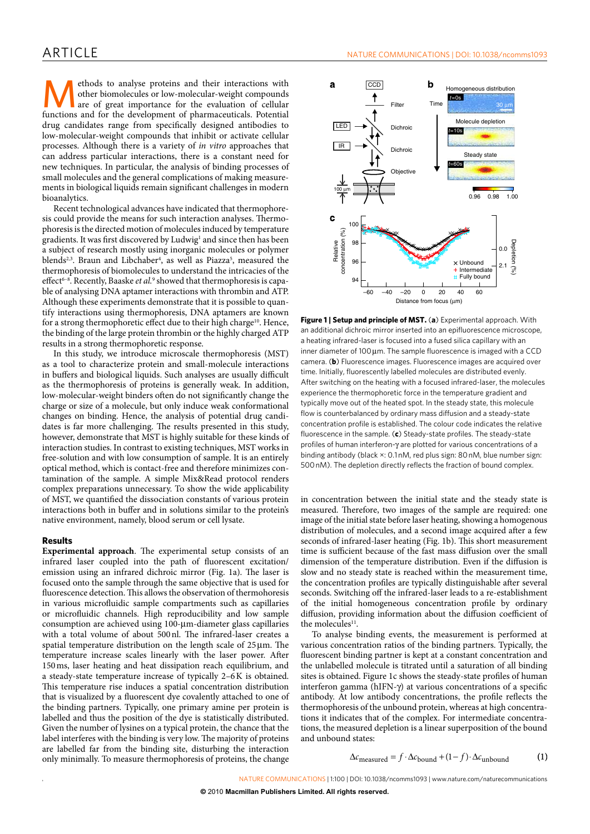ethods to analyse proteins and their interactions with other biomolecules or low-molecular-weight compounds are of great importance for the evaluation of cellular functions and for the development of pharmaceuticals. Potential drug candidates range from specifically designed antibodies to low-molecular-weight compounds that inhibit or activate cellular processes. Although there is a variety of in vitro approaches that can address particular interactions, there is a constant need for new techniques. In particular, the analysis of binding processes of small molecules and the general complications of making measurements in biological liquids remain significant challenges in modern bioanalytics.

Recent technological advances have indicated that thermophoresis could provide the means for such interaction analyses. Thermophoresis is the directed motion of molecules induced by temperature gradients. It was first discovered by Ludwig<sup>1</sup> and since then has been a subject of research mostly using inorganic molecules or polymer blends<sup>2,3</sup>. Braun and Libchaber<sup>4</sup>, as well as Piazza<sup>5</sup>, measured the thermophoresis of biomolecules to understand the intricacies of the effect<sup>6-8</sup>. Recently, Baaske *et al.* 9 showed that thermophoresis is capable of analysing DNA aptamer interactions with thrombin and ATP. Although these experiments demonstrate that it is possible to quantify interactions using thermophoresis, DNA aptamers are known for a strong thermophoretic effect due to their high charge<sup>10</sup>. Hence, the binding of the large protein thrombin or the highly charged ATP results in a strong thermophoretic response.

In this study, we introduce microscale thermophoresis (MST) as a tool to characterize protein and small-molecule interactions in buffers and biological liquids. Such analyses are usually difficult as the thermophoresis of proteins is generally weak. In addition, low-molecular-weight binders often do not significantly change the charge or size of a molecule, but only induce weak conformational changes on binding. Hence, the analysis of potential drug candidates is far more challenging. The results presented in this study, however, demonstrate that MST is highly suitable for these kinds of interaction studies. In contrast to existing techniques, MST works in free-solution and with low consumption of sample. It is an entirely optical method, which is contact-free and therefore minimizes contamination of the sample. A simple Mix&Read protocol renders complex preparations unnecessary. To show the wide applicability of MST, we quantified the dissociation constants of various protein interactions both in buffer and in solutions similar to the protein's native environment, namely, blood serum or cell lysate.

# **Results**

Į.

**Experimental approach**. The experimental setup consists of an infrared laser coupled into the path of fluorescent excitation/ emission using an infrared dichroic mirror (Fig. 1a). The laser is focused onto the sample through the same objective that is used for fluorescence detection. This allows the observation of thermohoresis in various microfluidic sample compartments such as capillaries or microfluidic channels. High reproducibility and low sample consumption are achieved using 100-µm-diameter glass capillaries with a total volume of about 500 nl. The infrared-laser creates a spatial temperature distribution on the length scale of  $25 \mu m$ . The temperature increase scales linearly with the laser power. After 150 ms, laser heating and heat dissipation reach equilibrium, and a steady-state temperature increase of typically 2–6 K is obtained. This temperature rise induces a spatial concentration distribution that is visualized by a fluorescent dye covalently attached to one of the binding partners. Typically, one primary amine per protein is labelled and thus the position of the dye is statistically distributed. Given the number of lysines on a typical protein, the chance that the label interferes with the binding is very low. The majority of proteins are labelled far from the binding site, disturbing the interaction only minimally. To measure thermophoresis of proteins, the change



**Figure 1 | Setup and principle of MST.** (**a**) Experimental approach. With an additional dichroic mirror inserted into an epifluorescence microscope, a heating infrared-laser is focused into a fused silica capillary with an inner diameter of 100 um. The sample fluorescence is imaged with a CCD camera. (**b**) Fluorescence images. Fluorescence images are acquired over time. Initially, fluorescently labelled molecules are distributed evenly. After switching on the heating with a focused infrared-laser, the molecules experience the thermophoretic force in the temperature gradient and typically move out of the heated spot. In the steady state, this molecule flow is counterbalanced by ordinary mass diffusion and a steady-state concentration profile is established. The colour code indicates the relative fluorescence in the sample. (**c**) Steady-state profiles. The steady-state profiles of human interferon-y are plotted for various concentrations of a binding antibody (black ×: 0.1 nM, red plus sign: 80 nM, blue number sign: 500 nM). The depletion directly reflects the fraction of bound complex.

in concentration between the initial state and the steady state is measured. Therefore, two images of the sample are required: one image of the initial state before laser heating, showing a homogenous distribution of molecules, and a second image acquired after a few seconds of infrared-laser heating (Fig. 1b). This short measurement time is sufficient because of the fast mass diffusion over the small dimension of the temperature distribution. Even if the diffusion is slow and no steady state is reached within the measurement time, the concentration profiles are typically distinguishable after several seconds. Switching off the infrared-laser leads to a re-establishment of the initial homogeneous concentration profile by ordinary diffusion, providing information about the diffusion coefficient of the molecules $11$ .

To analyse binding events, the measurement is performed at various concentration ratios of the binding partners. Typically, the fluorescent binding partner is kept at a constant concentration and the unlabelled molecule is titrated until a saturation of all binding sites is obtained. Figure 1c shows the steady-state profiles of human interferon gamma (hIFN- $\gamma$ ) at various concentrations of a specific antibody. At low antibody concentrations, the profile reflects the thermophoresis of the unbound protein, whereas at high concentrations it indicates that of the complex. For intermediate concentrations, the measured depletion is a linear superposition of the bound and unbound states:

$$
\Delta c_{\text{measured}} = f \cdot \Delta c_{\text{bound}} + (1 - f) \cdot \Delta c_{\text{unbound}} \tag{1}
$$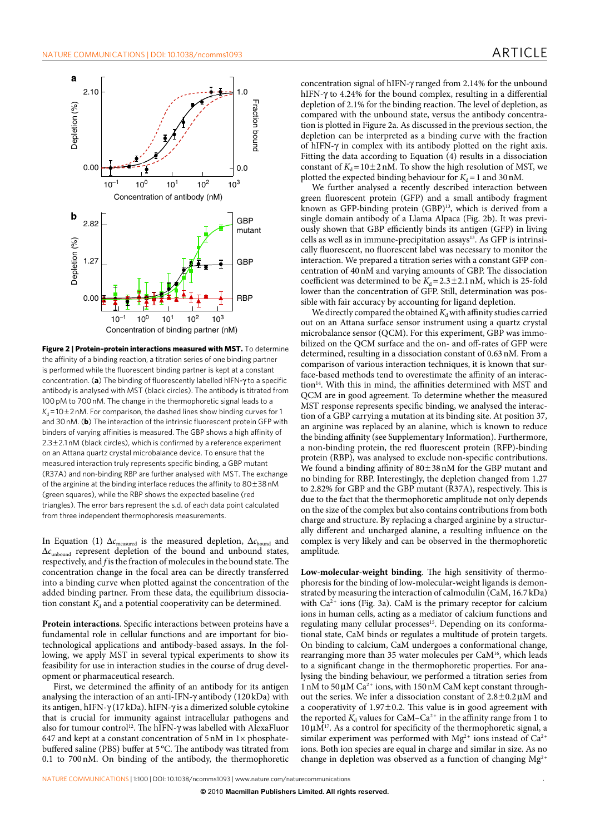

**Figure 2 | Protein–protein interactions measured with MST.** To determine the affinity of a binding reaction, a titration series of one binding partner is performed while the fluorescent binding partner is kept at a constant concentration. (a) The binding of fluorescently labelled hIFN- $\gamma$  to a specific antibody is analysed with MST (black circles). The antibody is titrated from 100 pM to 700 nM. The change in the thermophoretic signal leads to a  $K_d$  = 10  $\pm$  2 nM. For comparison, the dashed lines show binding curves for 1 and 30 nM. (**b**) The interaction of the intrinsic fluorescent protein GFP with binders of varying affinities is measured. The GBP shows a high affinity of  $2.3 \pm 2.1$  nM (black circles), which is confirmed by a reference experiment on an Attana quartz crystal microbalance device. To ensure that the measured interaction truly represents specific binding, a GBP mutant (R37A) and non-binding RBP are further analysed with MST. The exchange of the arginine at the binding interface reduces the affinity to  $80\pm38$  nM (green squares), while the RBP shows the expected baseline (red triangles). The error bars represent the s.d. of each data point calculated from three independent thermophoresis measurements.

In Equation (1)  $\Delta c_{\text{measured}}$  is the measured depletion,  $\Delta c_{\text{bound}}$  and  $\Delta c$ <sub>unbound</sub> represent depletion of the bound and unbound states, respectively, and f is the fraction of molecules in the bound state. The concentration change in the focal area can be directly transferred into a binding curve when plotted against the concentration of the added binding partner. From these data, the equilibrium dissociation constant  $K_d$  and a potential cooperativity can be determined.

**Protein interactions**. Specific interactions between proteins have a fundamental role in cellular functions and are important for biotechnological applications and antibody-based assays. In the following, we apply MST in several typical experiments to show its feasibility for use in interaction studies in the course of drug development or pharmaceutical research.

First, we determined the affinity of an antibody for its antigen analysing the interaction of an anti-IFN- $\gamma$  antibody (120 kDa) with its antigen, hIFN- $\gamma$ (17 kDa). hIFN- $\gamma$  is a dimerized soluble cytokine that is crucial for immunity against intracellular pathogens and also for tumour control<sup>12</sup>. The hIFN- $\gamma$  was labelled with AlexaFluor 647 and kept at a constant concentration of 5 nM in 1× phosphatebuffered saline (PBS) buffer at 5 °C. The antibody was titrated from 0.1 to 700 nM. On binding of the antibody, the thermophoretic

concentration signal of hIFN- $\gamma$  ranged from 2.14% for the unbound hIFN- $\gamma$  to 4.24% for the bound complex, resulting in a differential depletion of 2.1% for the binding reaction. The level of depletion, as compared with the unbound state, versus the antibody concentration is plotted in Figure 2a. As discussed in the previous section, the depletion can be interpreted as a binding curve with the fraction of hIFN- $\gamma$  in complex with its antibody plotted on the right axis. Fitting the data according to Equation (4) results in a dissociation constant of  $K_d = 10 \pm 2$  nM. To show the high resolution of MST, we plotted the expected binding behaviour for  $K_d = 1$  and 30 nM.

We further analysed a recently described interaction between green fluorescent protein (GFP) and a small antibody fragment known as GFP-binding protein (GBP)<sup>13</sup>, which is derived from a single domain antibody of a Llama Alpaca (Fig. 2b). It was previously shown that GBP efficiently binds its antigen (GFP) in living cells as well as in immune-precipitation assays<sup>13</sup>. As GFP is intrinsically fluorescent, no fluorescent label was necessary to monitor the interaction. We prepared a titration series with a constant GFP concentration of 40 nM and varying amounts of GBP. The dissociation coefficient was determined to be  $K_d = 2.3 \pm 2.1$  nM, which is 25-fold lower than the concentration of GFP. Still, determination was possible with fair accuracy by accounting for ligand depletion.

We directly compared the obtained  $K_d$  with affinity studies carried out on an Attana surface sensor instrument using a quartz crystal microbalance sensor (QCM). For this experiment, GBP was immobilized on the QCM surface and the on- and off-rates of GFP were determined, resulting in a dissociation constant of 0.63 nM. From a comparison of various interaction techniques, it is known that surface-based methods tend to overestimate the affinity of an interaction14. With this in mind, the affinities determined with MST and QCM are in good agreement. To determine whether the measured MST response represents specific binding, we analysed the interaction of a GBP carrying a mutation at its binding site. At position 37, an arginine was replaced by an alanine, which is known to reduce the binding affinity (see Supplementary Information). Furthermore, a non-binding protein, the red fluorescent protein (RFP)-binding protein (RBP), was analysed to exclude non-specific contributions. We found a binding affinity of  $80 \pm 38$  nM for the GBP mutant and no binding for RBP. Interestingly, the depletion changed from 1.27 to 2.82% for GBP and the GBP mutant (R37A), respectively. This is due to the fact that the thermophoretic amplitude not only depends on the size of the complex but also contains contributions from both charge and structure. By replacing a charged arginine by a structurally different and uncharged alanine, a resulting influence on the complex is very likely and can be observed in the thermophoretic amplitude.

**Low-molecular-weight binding**. The high sensitivity of thermophoresis for the binding of low-molecular-weight ligands is demonstrated by measuring the interaction of calmodulin (CaM, 16.7 kDa) with  $Ca^{2+}$  ions (Fig. 3a). CaM is the primary receptor for calcium ions in human cells, acting as a mediator of calcium functions and regulating many cellular processes<sup>15</sup>. Depending on its conformational state, CaM binds or regulates a multitude of protein targets. On binding to calcium, CaM undergoes a conformational change, rearranging more than 35 water molecules per CaM<sup>16</sup>, which leads to a significant change in the thermophoretic properties. For analysing the binding behaviour, we performed a titration series from  $1 \text{ nM}$  to  $50 \mu \text{M}$  Ca<sup>2+</sup> ions, with  $150 \text{ nM}$  CaM kept constant throughout the series. We infer a dissociation constant of  $2.8 \pm 0.2 \mu$ M and a cooperativity of  $1.97 \pm 0.2$ . This value is in good agreement with the reported  $K_d$  values for CaM–Ca<sup>2+</sup> in the affinity range from 1 to  $10 \mu M^{17}$ . As a control for specificity of the thermophoretic signal, a similar experiment was performed with  $Mg^{2+}$  ions instead of  $Ca^{2+}$ ions. Both ion species are equal in charge and similar in size. As no change in depletion was observed as a function of changing  $Mg^{2+}$ 

l,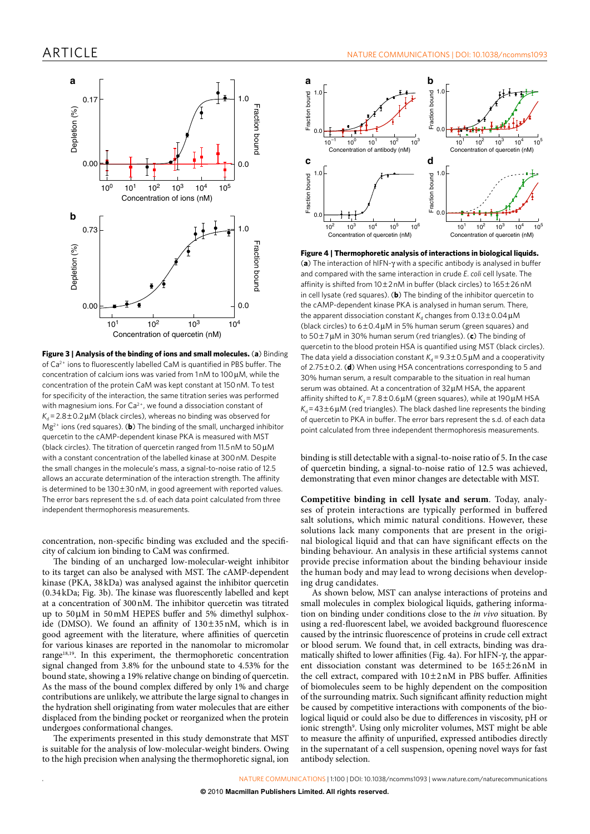

**Figure 3 | Analysis of the binding of ions and small molecules.** (**a**) Binding of Ca<sup>2+</sup> ions to fluorescently labelled CaM is quantified in PBS buffer. The concentration of calcium ions was varied from 1nM to 100  $\mu$ M, while the concentration of the protein CaM was kept constant at 150 nM. To test for specificity of the interaction, the same titration series was performed with magnesium ions. For  $Ca^{2+}$ , we found a dissociation constant of  $K_d = 2.8 \pm 0.2 \mu$ M (black circles), whereas no binding was observed for Mg<sup>2+</sup> ions (red squares). (**b**) The binding of the small, uncharged inhibitor quercetin to the cAMP-dependent kinase PKA is measured with MST (black circles). The titration of quercetin ranged from 11.5 nM to  $50 \mu$ M with a constant concentration of the labelled kinase at 300 nM. Despite the small changes in the molecule's mass, a signal-to-noise ratio of 12.5 allows an accurate determination of the interaction strength. The affinity is determined to be  $130 \pm 30$  nM, in good agreement with reported values. The error bars represent the s.d. of each data point calculated from three independent thermophoresis measurements.

concentration, non-specific binding was excluded and the specificity of calcium ion binding to CaM was confirmed.

The binding of an uncharged low-molecular-weight inhibitor to its target can also be analysed with MST. The cAMP-dependent kinase (PKA, 38 kDa) was analysed against the inhibitor quercetin (0.34 kDa; Fig. 3b). The kinase was fluorescently labelled and kept at a concentration of 300 nM. The inhibitor quercetin was titrated up to 50 µM in 50 mM HEPES buffer and 5% dimethyl sulphoxide (DMSO). We found an affinity of  $130 \pm 35$  nM, which is in good agreement with the literature, where affinities of quercetin for various kinases are reported in the nanomolar to micromolar range<sup>18,19</sup>. In this experiment, the thermophoretic concentration signal changed from 3.8% for the unbound state to 4.53% for the bound state, showing a 19% relative change on binding of quercetin. As the mass of the bound complex differed by only 1% and charge contributions are unlikely, we attribute the large signal to changes in the hydration shell originating from water molecules that are either displaced from the binding pocket or reorganized when the protein undergoes conformational changes.

The experiments presented in this study demonstrate that MST is suitable for the analysis of low-molecular-weight binders. Owing to the high precision when analysing the thermophoretic signal, ion

J.



**Figure 4 | Thermophoretic analysis of interactions in biological liquids.** (a) The interaction of hIFN-γ with a specific antibody is analysed in buffer and compared with the same interaction in crude *E*. *coli* cell lysate. The affinity is shifted from  $10\pm 2$  nM in buffer (black circles) to  $165\pm 26$  nM in cell lysate (red squares). (**b**) The binding of the inhibitor quercetin to the cAMP-dependent kinase PKA is analysed in human serum. There, the apparent dissociation constant  $K_d$  changes from  $0.13 \pm 0.04 \mu M$ (black circles) to  $6 \pm 0.4 \mu$ M in 5% human serum (green squares) and to 50 ± 7 µM in 30% human serum (red triangles). (c) The binding of quercetin to the blood protein HSA is quantified using MST (black circles). The data yield a dissociation constant  $K_d = 9.3 \pm 0.5 \,\mu$ M and a cooperativity of 2.75 ± 0.2. (**d**) When using HSA concentrations corresponding to 5 and 30% human serum, a result comparable to the situation in real human serum was obtained. At a concentration of 32 µM HSA, the apparent affinity shifted to  $K_d = 7.8 \pm 0.6 \,\mu\text{M}$  (green squares), while at 190  $\mu$ M HSA  $K<sub>a</sub> = 43 \pm 6 \mu$ M (red triangles). The black dashed line represents the binding of quercetin to PKA in buffer. The error bars represent the s.d. of each data point calculated from three independent thermophoresis measurements.

binding is still detectable with a signal-to-noise ratio of 5. In the case of quercetin binding, a signal-to-noise ratio of 12.5 was achieved, demonstrating that even minor changes are detectable with MST.

**Competitive binding in cell lysate and serum**. Today, analyses of protein interactions are typically performed in buffered salt solutions, which mimic natural conditions. However, these solutions lack many components that are present in the original biological liquid and that can have significant effects on the binding behaviour. An analysis in these artificial systems cannot provide precise information about the binding behaviour inside the human body and may lead to wrong decisions when developing drug candidates.

As shown below, MST can analyse interactions of proteins and small molecules in complex biological liquids, gathering information on binding under conditions close to the in vivo situation. By using a red-fluorescent label, we avoided background fluorescence caused by the intrinsic fluorescence of proteins in crude cell extract or blood serum. We found that, in cell extracts, binding was dramatically shifted to lower affinities (Fig. 4a). For hIFN- $\gamma$ , the apparent dissociation constant was determined to be  $165 \pm 26$  nM in the cell extract, compared with  $10\pm 2$  nM in PBS buffer. Affinities of biomolecules seem to be highly dependent on the composition of the surrounding matrix. Such significant affinity reduction might be caused by competitive interactions with components of the biological liquid or could also be due to differences in viscosity, pH or ionic strength<sup>9</sup>. Using only microliter volumes, MST might be able to measure the affinity of unpurified, expressed antibodies directly in the supernatant of a cell suspension, opening novel ways for fast antibody selection.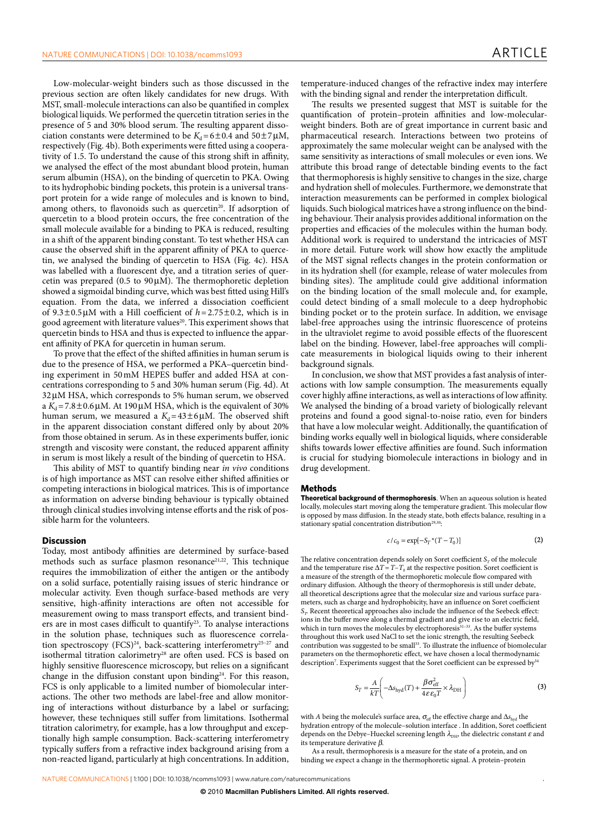Low-molecular-weight binders such as those discussed in the previous section are often likely candidates for new drugs. With MST, small-molecule interactions can also be quantified in complex biological liquids. We performed the quercetin titration series in the presence of 5 and 30% blood serum. The resulting apparent dissociation constants were determined to be  $K_a = 6 \pm 0.4$  and  $50 \pm 7 \mu$ M, respectively (Fig. 4b). Both experiments were fitted using a cooperativity of 1.5. To understand the cause of this strong shift in affinity, we analysed the effect of the most abundant blood protein, human serum albumin (HSA), on the binding of quercetin to PKA. Owing to its hydrophobic binding pockets, this protein is a universal transport protein for a wide range of molecules and is known to bind, among others, to flavonoids such as quercetin<sup>20</sup>. If adsorption of quercetin to a blood protein occurs, the free concentration of the small molecule available for a binding to PKA is reduced, resulting in a shift of the apparent binding constant. To test whether HSA can cause the observed shift in the apparent affinity of PKA to quercetin, we analysed the binding of quercetin to HSA (Fig. 4c). HSA was labelled with a fluorescent dye, and a titration series of quercetin was prepared (0.5 to  $90 \mu M$ ). The thermophoretic depletion showed a sigmoidal binding curve, which was best fitted using Hill's equation. From the data, we inferred a dissociation coefficient of  $9.3 \pm 0.5 \mu$ M with a Hill coefficient of  $h = 2.75 \pm 0.2$ , which is in good agreement with literature values $^{20}$ . This experiment shows that quercetin binds to HSA and thus is expected to influence the apparent affinity of PKA for quercetin in human serum.

To prove that the effect of the shifted affinities in human serum is due to the presence of HSA, we performed a PKA–quercetin binding experiment in 50 mM HEPES buffer and added HSA at concentrations corresponding to 5 and 30% human serum (Fig. 4d). At  $32 \mu$ M HSA, which corresponds to 5% human serum, we observed a  $K_d$  = 7.8 ± 0.6 µM. At 190 µM HSA, which is the equivalent of 30% human serum, we measured a  $K_d = 43 \pm 6 \,\mu$ M. The observed shift in the apparent dissociation constant differed only by about 20% from those obtained in serum. As in these experiments buffer, ionic strength and viscosity were constant, the reduced apparent affinity in serum is most likely a result of the binding of quercetin to HSA.

This ability of MST to quantify binding near in vivo conditions is of high importance as MST can resolve either shifted affinities or competing interactions in biological matrices. This is of importance as information on adverse binding behaviour is typically obtained through clinical studies involving intense efforts and the risk of possible harm for the volunteers.

# **Discussion**

Today, most antibody affinities are determined by surface-based methods such as surface plasmon resonance<sup>21,22</sup>. This technique requires the immobilization of either the antigen or the antibody on a solid surface, potentially raising issues of steric hindrance or molecular activity. Even though surface-based methods are very sensitive, high-affinity interactions are often not accessible for measurement owing to mass transport effects, and transient binders are in most cases difficult to quantify<sup>23</sup>. To analyse interactions in the solution phase, techniques such as fluorescence correlation spectroscopy (FCS)<sup>24</sup>, back-scattering interferometry<sup>25-27</sup> and isothermal titration calorimetry<sup>28</sup> are often used. FCS is based on highly sensitive fluorescence microscopy, but relies on a significant change in the diffusion constant upon binding<sup>24</sup>. For this reason, FCS is only applicable to a limited number of biomolecular interactions. The other two methods are label-free and allow monitoring of interactions without disturbance by a label or surfacing; however, these techniques still suffer from limitations. Isothermal titration calorimetry, for example, has a low throughput and exceptionally high sample consumption. Back-scattering interferometry typically suffers from a refractive index background arising from a non-reacted ligand, particularly at high concentrations. In addition, temperature-induced changes of the refractive index may interfere with the binding signal and render the interpretation difficult.

The results we presented suggest that MST is suitable for the quantification of protein–protein affinities and low-molecularweight binders. Both are of great importance in current basic and pharmaceutical research. Interactions between two proteins of approximately the same molecular weight can be analysed with the same sensitivity as interactions of small molecules or even ions. We attribute this broad range of detectable binding events to the fact that thermophoresis is highly sensitive to changes in the size, charge and hydration shell of molecules. Furthermore, we demonstrate that interaction measurements can be performed in complex biological liquids. Such biological matrices have a strong influence on the binding behaviour. Their analysis provides additional information on the properties and efficacies of the molecules within the human body. Additional work is required to understand the intricacies of MST in more detail. Future work will show how exactly the amplitude of the MST signal reflects changes in the protein conformation or in its hydration shell (for example, release of water molecules from binding sites). The amplitude could give additional information on the binding location of the small molecule and, for example, could detect binding of a small molecule to a deep hydrophobic binding pocket or to the protein surface. In addition, we envisage label-free approaches using the intrinsic fluorescence of proteins in the ultraviolet regime to avoid possible effects of the fluorescent label on the binding. However, label-free approaches will complicate measurements in biological liquids owing to their inherent background signals.

In conclusion, we show that MST provides a fast analysis of interactions with low sample consumption. The measurements equally cover highly affine interactions, as well as interactions of low affinity. We analysed the binding of a broad variety of biologically relevant proteins and found a good signal-to-noise ratio, even for binders that have a low molecular weight. Additionally, the quantification of binding works equally well in biological liquids, where considerable shifts towards lower effective affinities are found. Such information is crucial for studying biomolecule interactions in biology and in drug development.

#### **Methods**

**Theoretical background of thermophoresis**. When an aqueous solution is heated locally, molecules start moving along the temperature gradient. This molecular flow is opposed by mass diffusion. In the steady state, both effects balance, resulting in a stationary spatial concentration distribution<sup>29,30</sup>:

$$
c/c_0 = \exp[-S_T^*(T - T_0)]
$$
 (2)

The relative concentration depends solely on Soret coefficient  $S_T$  of the molecule and the temperature rise  $\Delta T = T - T_0$  at the respective position. Soret coefficient is a measure of the strength of the thermophoretic molecule flow compared with ordinary diffusion. Although the theory of thermophoresis is still under debate, all theoretical descriptions agree that the molecular size and various surface parameters, such as charge and hydrophobicity, have an influence on Soret coefficient  $S_T$ . Recent theoretical approaches also include the influence of the Seebeck effect: ions in the buffer move along a thermal gradient and give rise to an electric field, which in turn moves the molecules by electrophoresis<sup>31-33</sup>. As the buffer systems throughout this work used NaCl to set the ionic strength, the resulting Seebeck contribution was suggested to be small<sup>33</sup>. To illustrate the influence of biomolecular parameters on the thermophoretic effect, we have chosen a local thermodynamic description<sup>7</sup>. Experiments suggest that the Soret coefficient can be expressed by<sup>34</sup>

$$
S_T = \frac{A}{kT} \left( -\Delta s_{\text{hyd}}(T) + \frac{\beta \sigma_{\text{eff}}^2}{4 \epsilon \epsilon_0 T} \times \lambda_{\text{DH}} \right)
$$
(3)

 $\overline{\phantom{a}}$ 

with A being the molecule's surface area,  $\sigma_{\text{eff}}$  the effective charge and  $\Delta s_{\text{hvd}}$  the hydration entropy of the molecule-solution interface . In addition, Soret coefficient depends on the Debye–Hueckel screening length  $\lambda_{\text{DH}}$ , the dielectric constant  $\varepsilon$  and its temperature derivative  $\beta$ .

As a result, thermophoresis is a measure for the state of a protein, and on binding we expect a change in the thermophoretic signal. A protein–protein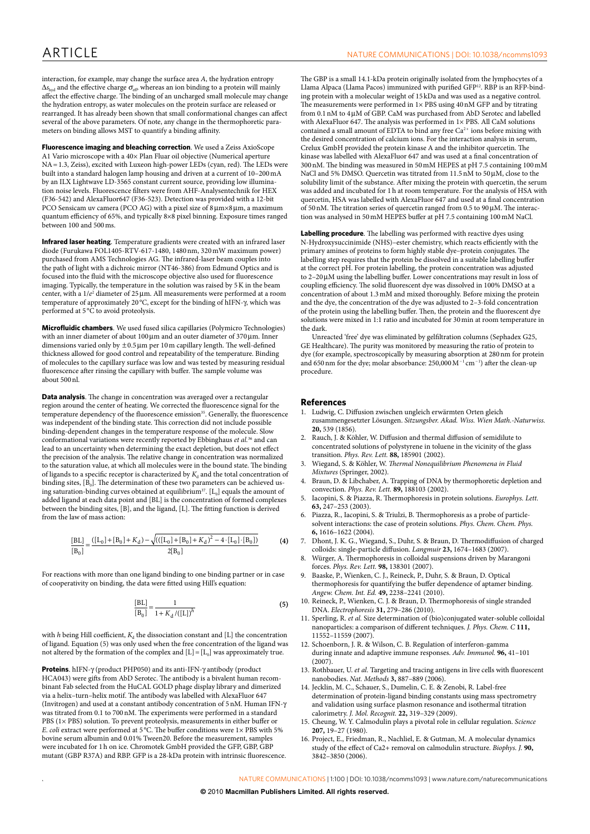interaction, for example, may change the surface area A, the hydration entropy  $\Delta s_{\text{hyd}}$  and the effective charge  $\sigma_{\text{eff}}$ , whereas an ion binding to a protein will mainly affect the effective charge. The binding of an uncharged small molecule may change the hydration entropy, as water molecules on the protein surface are released or rearranged. It has already been shown that small conformational changes can affect several of the above parameters. Of note, any change in the thermophoretic parameters on binding allows MST to quantify a binding affinity.

**Fluorescence imaging and bleaching correction**. We used a Zeiss AxioScope A1 Vario microscope with a 40× Plan Fluar oil objective (Numerical aperture NA = 1.3, Zeiss), excited with Luxeon high-power LEDs (cyan, red). The LEDs were built into a standard halogen lamp housing and driven at a current of 10–200 mA by an ILX Lightwave LD-3565 constant current source, providing low illumination noise levels. Fluorescence filters were from AHF-Analysentechnik for HEX (F36-542) and AlexaFluor647 (F36-523). Detection was provided with a 12-bit PCO Sensicam uv camera (PCO AG) with a pixel size of  $8 \mu m \times 8 \mu m$ , a maximum quantum efficiency of 65%, and typically 8×8 pixel binning. Exposure times ranged between 100 and 500 ms.

**Infrared laser heating**. Temperature gradients were created with an infrared laser diode (Furukawa FOL1405-RTV-617-1480, 1480 nm, 320 mW maximum power) purchased from AMS Technologies AG. The infrared-laser beam couples into the path of light with a dichroic mirror (NT46-386) from Edmund Optics and is focused into the fluid with the microscope objective also used for fluorescence imaging. Typically, the temperature in the solution was raised by 5 K in the beam center, with a  $1/e^2$  diameter of 25  $\mu$ m. All measurements were performed at a room temperature of approximately 20 $^{\circ}$ C, except for the binding of hIFN- $\gamma$ , which was performed at 5 °C to avoid proteolysis.

**Microfluidic chambers**. We used fused silica capillaries (Polymicro Technologies) with an inner diameter of about  $100 \mu m$  and an outer diameter of  $370 \mu m$ . Inner dimensions varied only by  $\pm 0.5 \,\mu$ m per 10 m capillary length. The well-defined thickness allowed for good control and repeatability of the temperature. Binding of molecules to the capillary surface was low and was tested by measuring residual fluorescence after rinsing the capillary with buffer. The sample volume was about 500 nl.

**Data analysis**. The change in concentration was averaged over a rectangular region around the center of heating. We corrected the fluorescence signal for the temperature dependency of the fluorescence emission<sup>35</sup>. Generally, the fluorescence was independent of the binding state. This correction did not include possible binding-dependent changes in the temperature response of the molecule. Slow conformational variations were recently reported by Ebbinghaus et al.<sup>36</sup> and can lead to an uncertainty when determining the exact depletion, but does not effect the precision of the analysis. The relative change in concentration was normalized to the saturation value, at which all molecules were in the bound state. The binding of ligands to a specific receptor is characterized by  $K_d$  and the total concentration of binding sites,  $[\overline{B_0}]$ . The determination of these two parameters can be achieved using saturation-binding curves obtained at equilibrium<sup>37</sup>. [ $L_0$ ] equals the amount of added ligand at each data point and [BL] is the concentration of formed complexes between the binding sites, [B], and the ligand, [L]. The fitting function is derived from the law of mass action:

$$
\frac{[BL]}{[B_0]} = \frac{([L_0] + [B_0] + K_d) - \sqrt{(([L_0] + [B_0] + K_d)^2 - 4 \cdot [L_0] \cdot [B_0])}}{2[B_0]}
$$
(4)

For reactions with more than one ligand binding to one binding partner or in case of cooperativity on binding, the data were fitted using Hill's equation:

$$
\frac{[BL]}{[B_0]} = \frac{1}{1 + K_d / ([L])^h}
$$
 (5)

with  $h$  being Hill coefficient,  $K_d$  the dissociation constant and [L] the concentration of ligand. Equation (5) was only used when the free concentration of the ligand was not altered by the formation of the complex and  $[L] = [L_0]$  was approximately true.

Proteins. hIFN- $\gamma$  (product PHP050) and its anti-IFN- $\gamma$  antibody (product HCA043) were gifts from AbD Serotec. The antibody is a bivalent human recombinant Fab selected from the HuCAL GOLD phage display library and dimerized via a helix–turn–helix motif. The antibody was labelled with AlexaFluor 647 (Invitrogen) and used at a constant antibody concentration of 5 nM. Human IFN-G was titrated from 0.1 to 700 nM. The experiments were performed in a standard PBS (1× PBS) solution. To prevent proteolysis, measurements in either buffer or E. coli extract were performed at  $5^{\circ}$ C. The buffer conditions were  $1 \times PBS$  with 5% bovine serum albumin and 0.01% Tween20. Before the measurement, samples were incubated for 1 h on ice. Chromotek GmbH provided the GFP, GBP, GBP mutant (GBP R37A) and RBP. GFP is a 28-kDa protein with intrinsic fluorescence.

l.

The GBP is a small 14.1-kDa protein originally isolated from the lymphocytes of a Llama Alpaca (Llama Pacos) immunized with purified GFP12. RBP is an RFP-binding protein with a molecular weight of 15 kDa and was used as a negative control. The measurements were performed in  $1 \times PBS$  using 40 nM GFP and by titrating from  $0.1$  nM to  $4\mu$ M of GBP. CaM was purchased from AbD Serotec and labelled with AlexaFluor 647. The analysis was performed in 1× PBS. All CaM solutions contained a small amount of EDTA to bind any free  $Ca^{2+}$  ions before mixing with the desired concentration of calcium ions. For the interaction analysis in serum, Crelux GmbH provided the protein kinase A and the inhibitor quercetin. The kinase was labelled with AlexaFluor 647 and was used at a final concentration of 300 nM. The binding was measured in 50 mM HEPES at pH 7.5 containing 100 mM NaCl and 5% DMSO. Quercetin was titrated from 11.5 nM to 50  $\mu$ M, close to the solubility limit of the substance. After mixing the protein with quercetin, the serum was added and incubated for 1 h at room temperature. For the analysis of HSA with quercetin, HSA was labelled with AlexaFluor 647 and used at a final concentration of 50 nM. The titration series of quercetin ranged from 0.5 to 90  $\mu$ M. The interaction was analysed in 50 mM HEPES buffer at pH 7.5 containing 100 mM NaCl.

**Labelling procedure**. The labelling was performed with reactive dyes using N-Hydroxysuccinimide (NHS)–ester chemistry, which reacts efficiently with the primary amines of proteins to form highly stable dye–protein conjugates. The labelling step requires that the protein be dissolved in a suitable labelling buffer at the correct pH. For protein labelling, the protein concentration was adjusted to  $2-20 \mu$ M using the labelling buffer. Lower concentrations may result in loss of coupling efficiency. The solid fluorescent dye was dissolved in 100% DMSO at a concentration of about 1.3 mM and mixed thoroughly. Before mixing the protein and the dye, the concentration of the dye was adjusted to 2–3-fold concentration of the protein using the labelling buffer. Then, the protein and the fluorescent dye solutions were mixed in 1:1 ratio and incubated for 30 min at room temperature in the dark.

Unreacted 'free' dye was eliminated by gelfiltration columns (Sephadex G25, GE Healthcare). The purity was monitored by measuring the ratio of protein to dye (for example, spectroscopically by measuring absorption at 280 nm for protein and 650 nm for the dye; molar absorbance: 250,000 M<sup>-1</sup> cm<sup>-1</sup>) after the clean-up procedure.

## **References**

- 1. Ludwig, C. Diffusion zwischen ungleich erwärmten Orten gleich
- zusammengesetzter Lösungen. Sitzungsber. Akad. Wiss. Wien Math.-Naturwiss. **20,** 539 (1856).
- 2. Rauch, J. & Köhler, W. Diffusion and thermal diffusion of semidilute to concentrated solutions of polystyrene in toluene in the vicinity of the glass transition. Phys. Rev. Lett. **88,** 185901 (2002).
- 3. Wiegand, S. & Köhler, W. Thermal Nonequilibrium Phenomena in Fluid Mixtures (Springer, 2002).
- 4. Braun, D. & Libchaber, A. Trapping of DNA by thermophoretic depletion and convection. Phys. Rev. Lett. **89,** 188103 (2002).
- Iacopini, S. & Piazza, R. Thermophoresis in protein solutions. Europhys. Lett. **63,** 247–253 (2003).
- 6. Piazza, R., Iacopini, S. & Triulzi, B. Thermophoresis as a probe of particlesolvent interactions: the case of protein solutions. Phys. Chem. Chem. Phys. **6,** 1616–1622 (2004).
- 7. Dhont, J. K. G., Wiegand, S., Duhr, S. & Braun, D. Thermodiffusion of charged colloids: single-particle diffusion. Langmuir **23,** 1674–1683 (2007).
- 8. Würger, A. Thermophoresis in colloidal suspensions driven by Marangoni forces. Phys. Rev. Lett. **98,** 138301 (2007).
- Baaske, P., Wienken, C. J., Reineck, P., Duhr, S. & Braun, D. Optical thermophoresis for quantifying the buffer dependence of aptamer binding. Angew. Chem. Int. Ed. **49,** 2238–2241 (2010).
- 10. Reineck, P., Wienken, C. J. & Braun, D. Thermophoresis of single stranded DNA. Electrophoresis **31,** 279–286 (2010).
- 11. Sperling, R. et al. Size determination of (bio)conjugated water-soluble colloidal nanoparticles: a comparison of different techniques. J. Phys. Chem. C **111,** 11552–11559 (2007).
- 12. Schoenborn, J. R. & Wilson, C. B. Regulation of interferon-gamma during innate and adaptive immune responses. Adv. Immunol. **96,** 41–101  $(2007)$
- 13. Rothbauer, U. et al. Targeting and tracing antigens in live cells with fluorescent nanobodies. Nat. Methods **3,** 887–889 (2006).
- 14. Jecklin, M. C., Schauer, S., Dumelin, C. E. & Zenobi, R. Label-free determination of protein-ligand binding constants using mass spectrometry and validation using surface plasmon resonance and isothermal titration calorimetry. J. Mol. Recognit. **22,** 319–329 (2009).
- 15. Cheung, W. Y. Calmodulin plays a pivotal role in cellular regulation. Science **207,** 19–27 (1980).
- 16. Project, E., Friedman, R., Nachliel, E. & Gutman, M. A molecular dynamics study of the effect of Ca2+ removal on calmodulin structure. Biophys. J. **90,** 3842–3850 (2006).